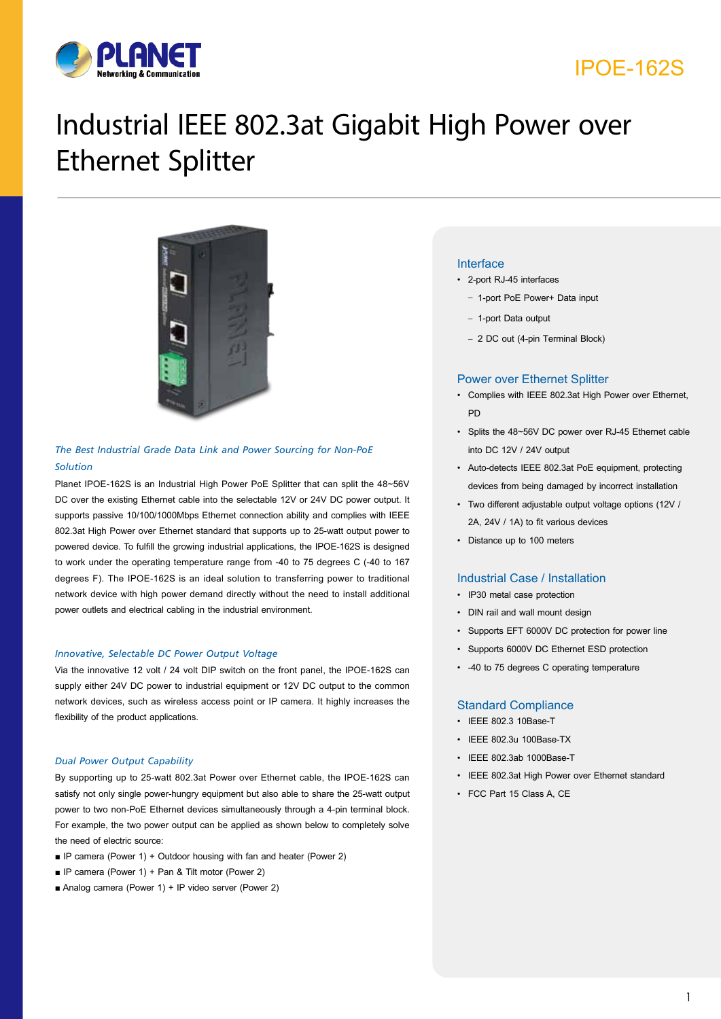

## IPOE-162S

# Industrial IEEE 802.3at Gigabit High Power over Ethernet Splitter



#### *The Best Industrial Grade Data Link and Power Sourcing for Non-PoE Solution*

Planet IPOE-162S is an Industrial High Power PoE Splitter that can split the 48~56V DC over the existing Ethernet cable into the selectable 12V or 24V DC power output. It supports passive 10/100/1000Mbps Ethernet connection ability and complies with IEEE 802.3at High Power over Ethernet standard that supports up to 25-watt output power to powered device. To fulfill the growing industrial applications, the IPOE-162S is designed to work under the operating temperature range from -40 to 75 degrees C (-40 to 167 degrees F). The IPOE-162S is an ideal solution to transferring power to traditional network device with high power demand directly without the need to install additional power outlets and electrical cabling in the industrial environment.

#### *Innovative, Selectable DC Power Output Voltage*

Via the innovative 12 volt / 24 volt DIP switch on the front panel, the IPOE-162S can supply either 24V DC power to industrial equipment or 12V DC output to the common network devices, such as wireless access point or IP camera. It highly increases the flexibility of the product applications.

#### *Dual Power Output Capability*

By supporting up to 25-watt 802.3at Power over Ethernet cable, the IPOE-162S can satisfy not only single power-hungry equipment but also able to share the 25-watt output power to two non-PoE Ethernet devices simultaneously through a 4-pin terminal block. For example, the two power output can be applied as shown below to completely solve the need of electric source:

- IP camera (Power 1) + Outdoor housing with fan and heater (Power 2)
- IP camera (Power 1) + Pan & Tilt motor (Power 2)
- Analog camera (Power 1) + IP video server (Power 2)

#### Interface

- 2-port RJ-45 interfaces
	- 1-port PoE Power+ Data input
	- 1-port Data output
	- 2 DC out (4-pin Terminal Block)

#### Power over Ethernet Splitter

- Complies with IEEE 802.3at High Power over Ethernet, **DD**
- Splits the 48~56V DC power over RJ-45 Ethernet cable into DC 12V / 24V output
- Auto-detects IEEE 802.3at PoE equipment, protecting devices from being damaged by incorrect installation
- Two different adjustable output voltage options (12V / 2A, 24V / 1A) to fit various devices
- Distance up to 100 meters

#### Industrial Case / Installation

- IP30 metal case protection
- DIN rail and wall mount design
- Supports EFT 6000V DC protection for power line
- Supports 6000V DC Ethernet ESD protection
- -40 to 75 degrees C operating temperature

#### Standard Compliance

- IEEE 802.3 10Base-T
- IEEE 802.3u 100Base-TX
- IEEE 802.3ab 1000Base-T
- IEEE 802.3at High Power over Ethernet standard
- FCC Part 15 Class A, CE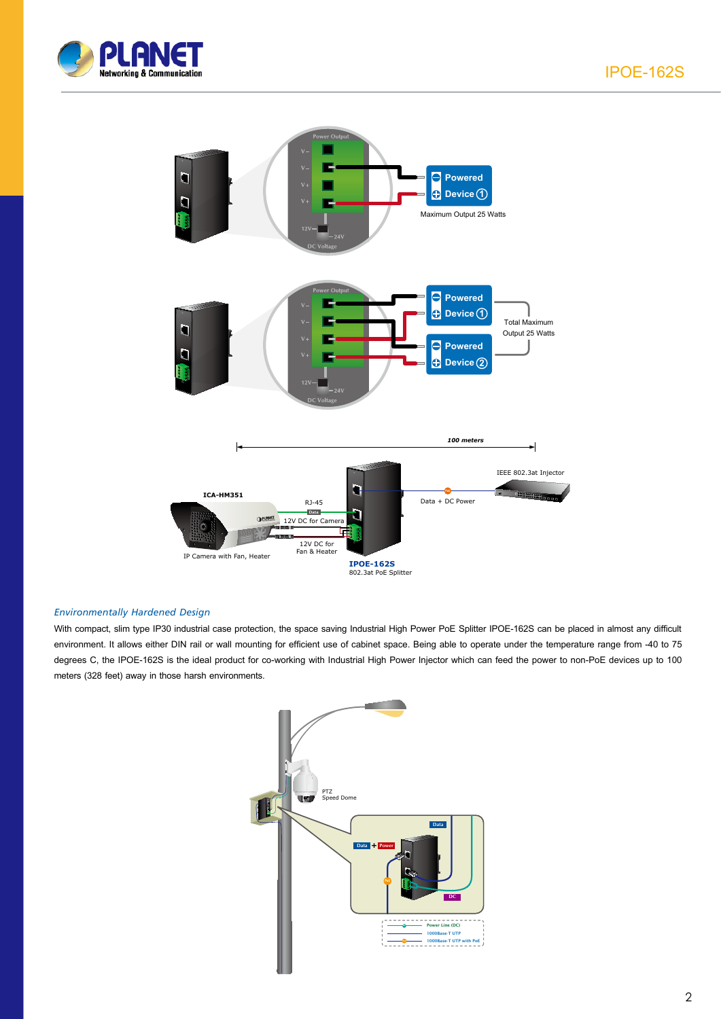



#### *Environmentally Hardened Design*

With compact, slim type IP30 industrial case protection, the space saving Industrial High Power PoE Splitter IPOE-162S can be placed in almost any difficult environment. It allows either DIN rail or wall mounting for efficient use of cabinet space. Being able to operate under the temperature range from -40 to 75 degrees C, the IPOE-162S is the ideal product for co-working with Industrial High Power Injector which can feed the power to non-PoE devices up to 100 meters (328 feet) away in those harsh environments.

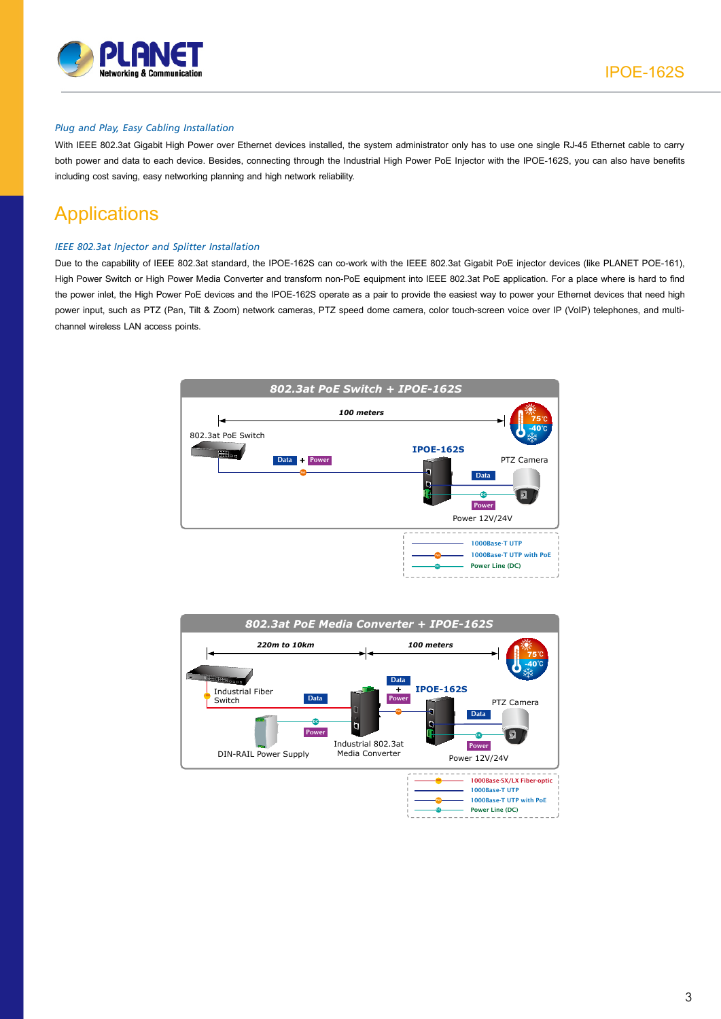

#### *Plug and Play, Easy Cabling Installation*

With IEEE 802.3at Gigabit High Power over Ethernet devices installed, the system administrator only has to use one single RJ-45 Ethernet cable to carry both power and data to each device. Besides, connecting through the Industrial High Power PoE Injector with the IPOE-162S, you can also have benefits including cost saving, easy networking planning and high network reliability.

## **Applications**

#### *IEEE 802.3at Injector and Splitter Installation*

Due to the capability of IEEE 802.3at standard, the IPOE-162S can co-work with the IEEE 802.3at Gigabit PoE injector devices (like PLANET POE-161), High Power Switch or High Power Media Converter and transform non-PoE equipment into IEEE 802.3at PoE application. For a place where is hard to find the power inlet, the High Power PoE devices and the IPOE-162S operate as a pair to provide the easiest way to power your Ethernet devices that need high power input, such as PTZ (Pan, Tilt & Zoom) network cameras, PTZ speed dome camera, color touch-screen voice over IP (VoIP) telephones, and multichannel wireless LAN access points.



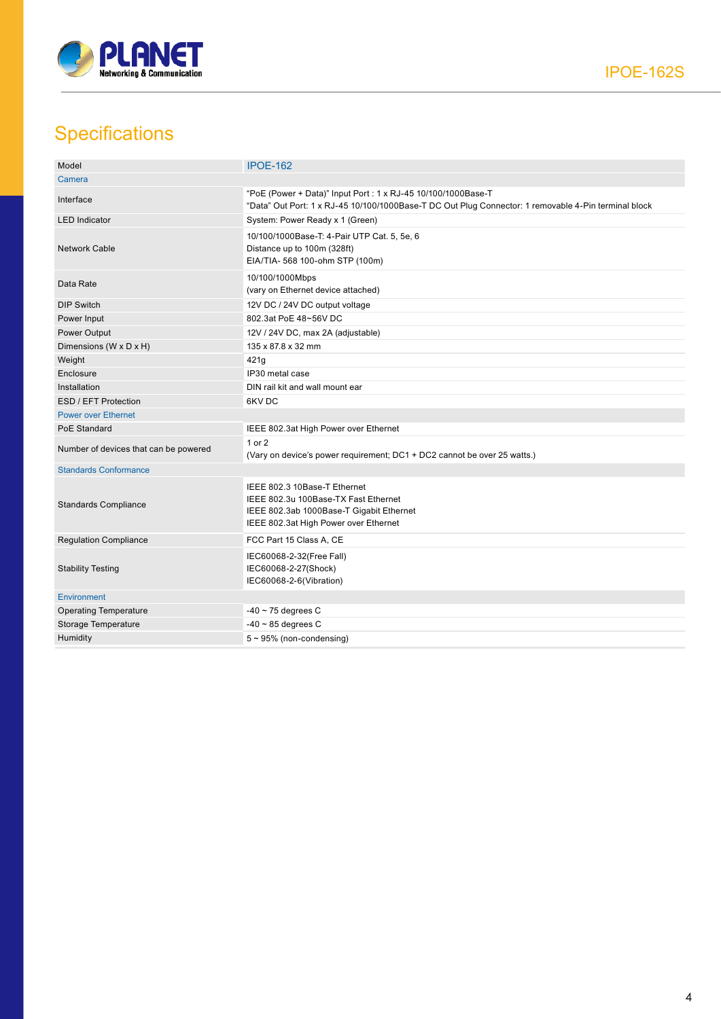

## **Specifications**

| Model                                 | <b>IPOE-162</b>                                                                                                                                                       |  |
|---------------------------------------|-----------------------------------------------------------------------------------------------------------------------------------------------------------------------|--|
| Camera                                |                                                                                                                                                                       |  |
| Interface                             | "PoE (Power + Data)" Input Port : 1 x RJ-45 10/100/1000Base-T<br>"Data" Out Port: 1 x RJ-45 10/100/1000Base-T DC Out Plug Connector: 1 removable 4-Pin terminal block |  |
| <b>LED</b> Indicator                  | System: Power Ready x 1 (Green)                                                                                                                                       |  |
| <b>Network Cable</b>                  | 10/100/1000Base-T: 4-Pair UTP Cat. 5, 5e, 6<br>Distance up to 100m (328ft)<br>EIA/TIA- 568 100-ohm STP (100m)                                                         |  |
| Data Rate                             | 10/100/1000Mbps<br>(vary on Ethernet device attached)                                                                                                                 |  |
| <b>DIP Switch</b>                     | 12V DC / 24V DC output voltage                                                                                                                                        |  |
| Power Input                           | 802.3at PoE 48~56V DC                                                                                                                                                 |  |
| Power Output                          | 12V / 24V DC, max 2A (adjustable)                                                                                                                                     |  |
| Dimensions (W x D x H)                | 135 x 87.8 x 32 mm                                                                                                                                                    |  |
| Weight                                | 421q                                                                                                                                                                  |  |
| Enclosure                             | IP30 metal case                                                                                                                                                       |  |
| Installation                          | DIN rail kit and wall mount ear                                                                                                                                       |  |
| ESD / EFT Protection                  | 6KVDC                                                                                                                                                                 |  |
| <b>Power over Ethernet</b>            |                                                                                                                                                                       |  |
| PoE Standard                          | IEEE 802.3at High Power over Ethernet                                                                                                                                 |  |
| Number of devices that can be powered | $1$ or $2$<br>(Vary on device's power requirement; DC1 + DC2 cannot be over 25 watts.)                                                                                |  |
| <b>Standards Conformance</b>          |                                                                                                                                                                       |  |
| <b>Standards Compliance</b>           | IEEE 802.3 10Base-T Ethernet<br>IEEE 802.3u 100Base-TX Fast Ethernet<br>IEEE 802.3ab 1000Base-T Gigabit Ethernet<br>IEEE 802.3at High Power over Ethernet             |  |
| <b>Regulation Compliance</b>          | FCC Part 15 Class A, CE                                                                                                                                               |  |
| <b>Stability Testing</b>              | IEC60068-2-32(Free Fall)<br>IEC60068-2-27(Shock)<br>IEC60068-2-6(Vibration)                                                                                           |  |
| Environment                           |                                                                                                                                                                       |  |
| <b>Operating Temperature</b>          | $-40$ ~ 75 degrees C                                                                                                                                                  |  |
| Storage Temperature                   | $-40 \sim 85$ degrees C                                                                                                                                               |  |
| Humidity                              | $5 \sim 95\%$ (non-condensing)                                                                                                                                        |  |